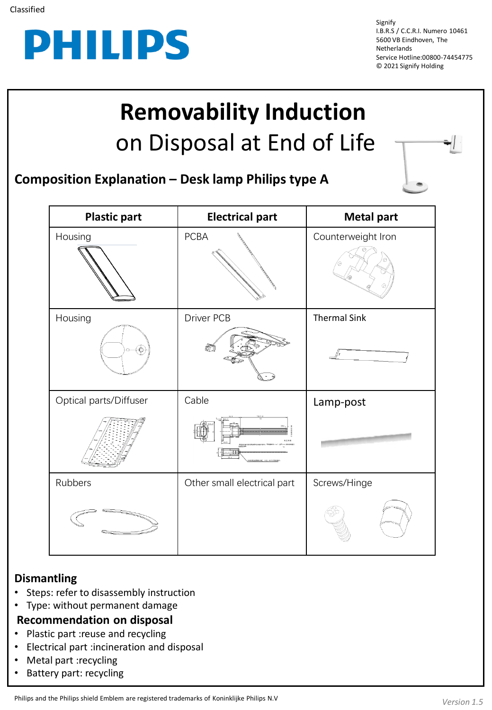

Signify I.B.R.S / C.C.R.I. Numero 10461 5600 VB Eindhoven, The **Netherlands** Service Hotline:00800-74454775 © 2021 Signify Holding

## **Removability Induction**  on Disposal at End of Life

**Composition Explanation – Desk lamp Philips type A**

| <b>Plastic part</b>    | <b>Electrical part</b>      | <b>Metal part</b>   |
|------------------------|-----------------------------|---------------------|
| Housing                | <b>PCBA</b>                 | Counterweight Iron  |
| Housing                | Driver PCB                  | <b>Thermal Sink</b> |
|                        |                             |                     |
| Optical parts/Diffuser | Cable                       | Lamp-post           |
|                        |                             |                     |
| Rubbers                | Other small electrical part | Screws/Hinge        |
|                        |                             |                     |

## **Dismantling**

- Steps: refer to disassembly instruction
- Type: without permanent damage
- **Recommendation on disposal**
- Plastic part :reuse and recycling
- Electrical part :incineration and disposal
- Metal part :recycling
- Battery part: recycling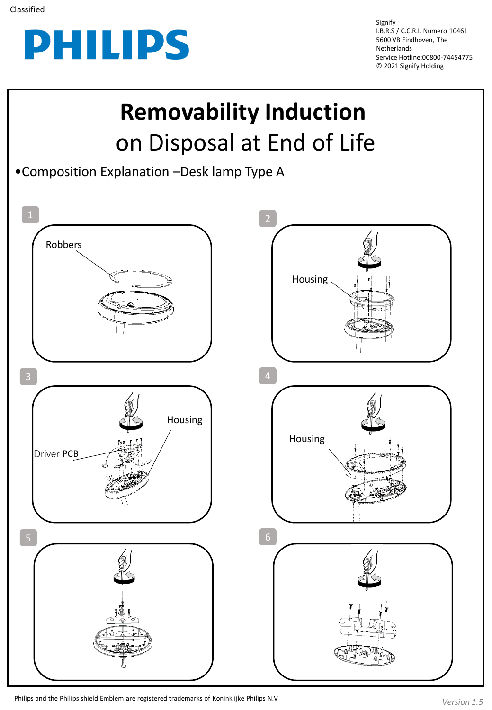

Signify I.B.R.S / C.C.R.I. Numero 10461 5600 VB Eindhoven, The Netherlands Service Hotline:00800-74454775 © 2021 Signify Holding